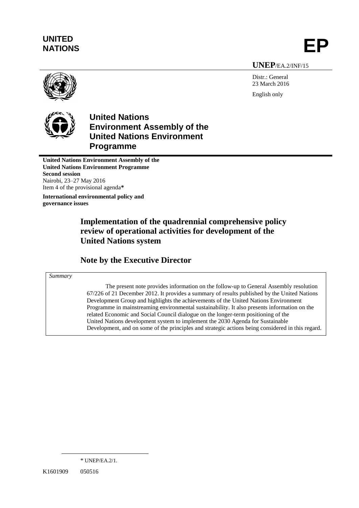# **UNITED** UNILED<br>NATIONS **EP**

#### **UNEP**/EA.2/INF/15

Distr.: General 23 March 2016 English only



**United Nations Environment Assembly of the United Nations Environment Programme**

**United Nations Environment Assembly of the United Nations Environment Programme Second session** Nairobi, 23–27 May 2016 Item 4 of the provisional agenda**\***

**International environmental policy and governance issues**

# **Implementation of the quadrennial comprehensive policy review of operational activities for development of the United Nations system**

# **Note by the Executive Director**

#### *Summary*

The present note provides information on the follow-up to General Assembly resolution 67/226 of 21 December 2012. It provides a summary of results published by the United Nations Development Group and highlights the achievements of the United Nations Environment Programme in mainstreaming environmental sustainability. It also presents information on the related Economic and Social Council dialogue on the longer-term positioning of the United Nations development system to implement the 2030 Agenda for Sustainable Development, and on some of the principles and strategic actions being considered in this regard.

 $\overline{a}$ 

<sup>\*</sup> UNEP/EA.2/1.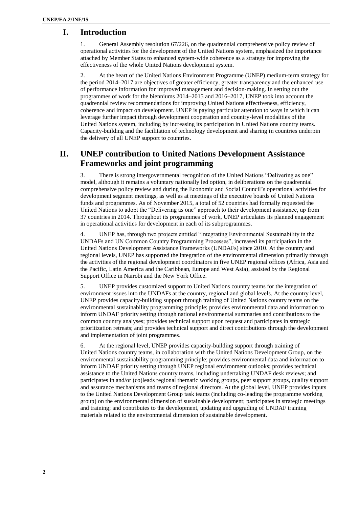#### **I. Introduction**

1. [General Assembly resolution 67/226,](http://www.un.org/ga/search/view_doc.asp?symbol=A/RES/67/226) on the quadrennial comprehensive policy review of operational activities for the development of the United Nations system, emphasized the importance attached by Member States to enhanced system-wide coherence as a strategy for improving the effectiveness of the whole United Nations development system.

2. At the heart of the United Nations Environment Programme (UNEP) medium-term strategy for the period 2014–2017 are objectives of greater efficiency, greater transparency and the enhanced use of performance information for improved management and decision-making. In setting out the programmes of work for the bienniums 2014–2015 and 2016–2017, UNEP took into account the quadrennial review recommendations for improving United Nations effectiveness, efficiency, coherence and impact on development. UNEP is paying particular attention to ways in which it can leverage further impact through development cooperation and country-level modalities of the United Nations system, including by increasing its participation in United Nations country teams. Capacity-building and the facilitation of technology development and sharing in countries underpin the delivery of all UNEP support to countries.

## **II. UNEP contribution to United Nations Development Assistance Frameworks and joint programming**

3. There is strong intergovernmental recognition of the United Nations "Delivering as one" model, although it remains a voluntary nationally led option, in deliberations on the quadrennial comprehensive policy review and during the Economic and Social Council's operational activities for development segment meetings, as well as at meetings of the executive boards of United Nations funds and programmes. As of November 2015, a total of 52 countries had formally requested the United Nations to adopt the "Delivering as one" approach to their development assistance, up from 37 countries in 2014. Throughout its programmes of work, UNEP articulates its planned engagement in operational activities for development in each of its subprogrammes.

4. UNEP has, through two projects entitled "Integrating Environmental Sustainability in the UNDAFs and UN Common Country Programming Processes", increased its participation in the United Nations Development Assistance Frameworks (UNDAFs) since 2010. At the country and regional levels, UNEP has supported the integration of the environmental dimension primarily through the activities of the regional development coordinators in five UNEP regional offices (Africa, Asia and the Pacific, Latin America and the Caribbean, Europe and West Asia), assisted by the Regional Support Office in Nairobi and the New York Office.

5. UNEP provides customized support to United Nations country teams for the integration of environment issues into the UNDAFs at the country, regional and global levels. At the country level, UNEP provides capacity-building support through training of United Nations country teams on the environmental sustainability programming principle; provides environmental data and information to inform UNDAF priority setting through national environmental summaries and contributions to the common country analyses; provides technical support upon request and participates in strategic prioritization retreats; and provides technical support and direct contributions through the development and implementation of joint programmes.

6. At the regional level, UNEP provides capacity-building support through training of United Nations country teams, in collaboration with the United Nations Development Group, on the environmental sustainability programming principle; provides environmental data and information to inform UNDAF priority setting through UNEP regional environment outlooks; provides technical assistance to the United Nations country teams, including undertaking UNDAF desk reviews; and participates in and/or (co)leads regional thematic working groups, peer support groups, quality support and assurance mechanisms and teams of regional directors. At the global level, UNEP provides inputs to the United Nations Development Group task teams (including co-leading the programme working group) on the environmental dimension of sustainable development; participates in strategic meetings and training; and contributes to the development, updating and upgrading of UNDAF training materials related to the environmental dimension of sustainable development.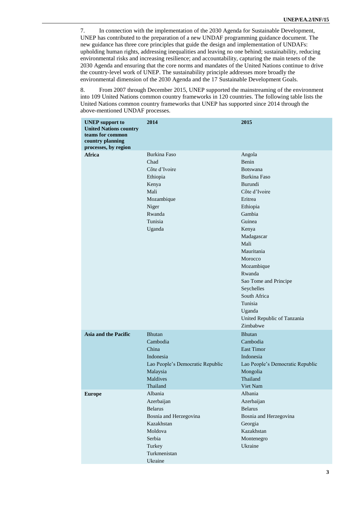7. In connection with the implementation of the 2030 Agenda for Sustainable Development, UNEP has contributed to the preparation of a new UNDAF programming guidance document. The new guidance has three core principles that guide the design and implementation of UNDAFs: upholding human rights, addressing inequalities and leaving no one behind; sustainability, reducing environmental risks and increasing resilience; and accountability, capturing the main tenets of the 2030 Agenda and ensuring that the core norms and mandates of the United Nations continue to drive the country-level work of UNEP. The sustainability principle addresses more broadly the environmental dimension of the 2030 Agenda and the 17 Sustainable Development Goals.

8. From 2007 through December 2015, UNEP supported the mainstreaming of the environment into 109 United Nations common country frameworks in 120 countries. The following table lists the United Nations common country frameworks that UNEP has supported since 2014 through the above-mentioned UNDAF processes.

| <b>UNEP</b> support to<br><b>United Nations country</b><br>teams for common<br>country planning<br>processes, by region | 2014                                                                                                                                      | 2015                                                                                                                                                                                                                                                                                                                             |
|-------------------------------------------------------------------------------------------------------------------------|-------------------------------------------------------------------------------------------------------------------------------------------|----------------------------------------------------------------------------------------------------------------------------------------------------------------------------------------------------------------------------------------------------------------------------------------------------------------------------------|
| <b>Africa</b>                                                                                                           | <b>Burkina Faso</b><br>Chad<br>Côte d'Ivoire<br>Ethiopia<br>Kenya<br>Mali<br>Mozambique<br>Niger<br>Rwanda<br>Tunisia<br>Uganda           | Angola<br>Benin<br><b>Botswana</b><br>Burkina Faso<br>Burundi<br>Côte d'Ivoire<br>Eritrea<br>Ethiopia<br>Gambia<br>Guinea<br>Kenya<br>Madagascar<br>Mali<br>Mauritania<br>Morocco<br>Mozambique<br>Rwanda<br>Sao Tome and Principe<br>Seychelles<br>South Africa<br>Tunisia<br>Uganda<br>United Republic of Tanzania<br>Zimbabwe |
| <b>Asia and the Pacific</b>                                                                                             | <b>Bhutan</b><br>Cambodia<br>China<br>Indonesia<br>Lao People's Democratic Republic<br>Malaysia<br>Maldives<br>Thailand                   | <b>Bhutan</b><br>Cambodia<br><b>East Timor</b><br>Indonesia<br>Lao People's Democratic Republic<br>Mongolia<br>Thailand<br>Viet Nam                                                                                                                                                                                              |
| <b>Europe</b>                                                                                                           | Albania<br>Azerbaijan<br><b>Belarus</b><br>Bosnia and Herzegovina<br>Kazakhstan<br>Moldova<br>Serbia<br>Turkey<br>Turkmenistan<br>Ukraine | Albania<br>Azerbaijan<br><b>Belarus</b><br>Bosnia and Herzegovina<br>Georgia<br>Kazakhstan<br>Montenegro<br>Ukraine                                                                                                                                                                                                              |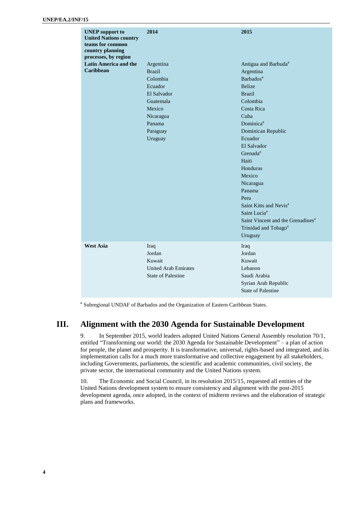| <b>UNEP</b> support to<br><b>United Nations country</b><br>teams for common<br>country planning<br>processes, by region | 2014                                                                                                                                  | 2015                                                                                                                                                                                                                                                                                                                                                                                                                                                                        |
|-------------------------------------------------------------------------------------------------------------------------|---------------------------------------------------------------------------------------------------------------------------------------|-----------------------------------------------------------------------------------------------------------------------------------------------------------------------------------------------------------------------------------------------------------------------------------------------------------------------------------------------------------------------------------------------------------------------------------------------------------------------------|
| <b>Latin America and the</b><br><b>Caribbean</b>                                                                        | Argentina<br><b>Brazil</b><br>Colombia<br>Ecuador<br>El Salvador<br>Guatemala<br>Mexico<br>Nicaragua<br>Panama<br>Paraguay<br>Uruguay | Antigua and Barbuda <sup>a</sup><br>Argentina<br>Barbados <sup>a</sup><br><b>Belize</b><br><b>Brazil</b><br>Colombia<br>Costa Rica<br>Cuba<br>Dominica <sup>a</sup><br>Dominican Republic<br>Ecuador<br>El Salvador<br>Grenada <sup>a</sup><br>Haiti<br>Honduras<br>Mexico<br>Nicaragua<br>Panama<br>Peru<br>Saint Kitts and Nevis <sup>a</sup><br>Saint Lucia <sup>a</sup><br>Saint Vincent and the Grenadines <sup>a</sup><br>Trinidad and Tobago <sup>a</sup><br>Uruguay |
| <b>West Asia</b>                                                                                                        | Iraq<br>Jordan<br>Kuwait<br><b>United Arab Emirates</b><br><b>State of Palestine</b>                                                  | Iraq<br>Jordan<br>Kuwait<br>Lebanon<br>Saudi Arabia<br>Syrian Arab Republic<br><b>State of Palestine</b>                                                                                                                                                                                                                                                                                                                                                                    |

<sup>a</sup> Subregional UNDAF of Barbados and the Organization of Eastern Caribbean States.

#### **III. Alignment with the 2030 Agenda for Sustainable Development**

9. In September 2015, world leaders adopted United Nations General Assembly resolution 70/1, entitled "Transforming our world: the 2030 Agenda for Sustainable Development" – a plan of action for people, the planet and prosperity. It is transformative, universal, rights-based and integrated, and its implementation calls for a much more transformative and collective engagement by all stakeholders, including Governments, parliaments, the scientific and academic communities, civil society, the private sector, the international community and the United Nations system.

10. The Economic and Social Council, in its resolution 2015/15, requested all entities of the United Nations development system to ensure consistency and alignment with the post-2015 development agenda, once adopted, in the context of midterm reviews and the elaboration of strategic plans and frameworks.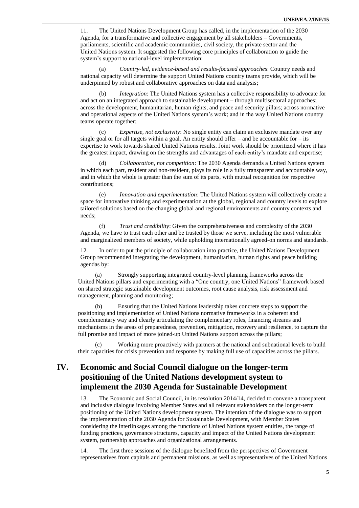11. The United Nations Development Group has called, in the implementation of the 2030 Agenda, for a transformative and collective engagement by all stakeholders – Governments, parliaments, scientific and academic communities, civil society, the private sector and the United Nations system. It suggested the following core principles of collaboration to guide the system's support to national-level implementation:

(a) *Country-led, evidence-based and results-focused approaches*: Country needs and national capacity will determine the support United Nations country teams provide, which will be underpinned by robust and collaborative approaches on data and analysis;

*Integration*: The United Nations system has a collective responsibility to advocate for and act on an integrated approach to sustainable development – through multisectoral approaches; across the development, humanitarian, human rights, and peace and security pillars; across normative and operational aspects of the United Nations system's work; and in the way United Nations country teams operate together;

(c) *Expertise, not exclusivity*: No single entity can claim an exclusive mandate over any single goal or for all targets within a goal. An entity should offer – and be accountable for – its expertise to work towards shared United Nations results. Joint work should be prioritized where it has the greatest impact, drawing on the strengths and advantages of each entity's mandate and expertise;

(d) *Collaboration, not competition*: The 2030 Agenda demands a United Nations system in which each part, resident and non-resident, plays its role in a fully transparent and accountable way, and in which the whole is greater than the sum of its parts, with mutual recognition for respective contributions;

(e) *Innovation and experimentation*: The United Nations system will collectively create a space for innovative thinking and experimentation at the global, regional and country levels to explore tailored solutions based on the changing global and regional environments and country contexts and needs;

(f) *Trust and credibility*: Given the comprehensiveness and complexity of the 2030 Agenda, we have to trust each other and be trusted by those we serve, including the most vulnerable and marginalized members of society, while upholding internationally agreed-on norms and standards.

12. In order to put the principle of collaboration into practice, the United Nations Development Group recommended integrating the development, humanitarian, human rights and peace building agendas by:

(a) Strongly supporting integrated country-level planning frameworks across the United Nations pillars and experimenting with a "One country, one United Nations" framework based on shared strategic sustainable development outcomes, root cause analysis, risk assessment and management, planning and monitoring;

(b) Ensuring that the United Nations leadership takes concrete steps to support the positioning and implementation of United Nations normative frameworks in a coherent and complementary way and clearly articulating the complementary roles, financing streams and mechanisms in the areas of preparedness, prevention, mitigation, recovery and resilience, to capture the full promise and impact of more joined-up United Nations support across the pillars;

(c) Working more proactively with partners at the national and subnational levels to build their capacities for crisis prevention and response by making full use of capacities across the pillars.

# **IV. Economic and Social Council dialogue on the longer-term positioning of the United Nations development system to implement the 2030 Agenda for Sustainable Development**

13. [The Economic and Social](http://www.un.org/ga/search/view_doc.asp?symbol=E/RES/2014/14) Council, in its resolution 2014/14, decided to convene a transparent and inclusive [dialogue involving Member States and all relevant stakeholders on the longer-term](http://www.un.org/en/ecosoc/qcpr/pdf/ecosoc_dialogue_report_phase_i.pdf)  [positioning of the United Nations development system.](http://www.un.org/en/ecosoc/qcpr/pdf/ecosoc_dialogue_report_phase_i.pdf) The intention of the dialogue was to support the implementation of the 2030 Agenda for Sustainable Development, with Member States considering the interlinkages among the functions of United Nations system entities, the range of funding practices, governance structures, capacity and impact of the United Nations development system, partnership approaches and organizational arrangements.

14. The first three sessions of the dialogue benefited from the perspectives of Government representatives from capitals and permanent missions, as well as representatives of the United Nations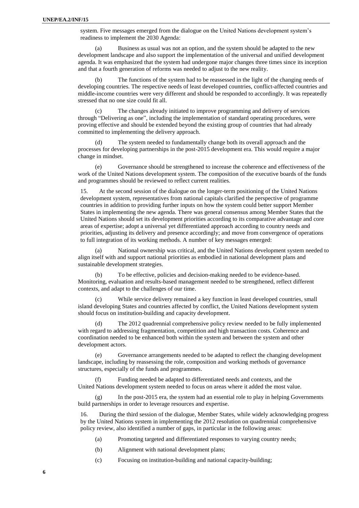system. Five messages emerged from the dialogue on the United Nations development system's readiness to implement the 2030 Agenda:

(a) Business as usual was not an option, and the system should be adapted to the new development landscape and also support the implementation of the universal and unified development agenda. It was emphasized that the system had undergone major changes three times since its inception and that a fourth generation of reforms was needed to adjust to the new reality.

The functions of the system had to be reassessed in the light of the changing needs of developing countries. The respective needs of least developed countries, conflict-affected countries and middle-income countries were very different and should be responded to accordingly. It was repeatedly stressed that no one size could fit all.

(c) The changes already initiated to improve programming and delivery of services through "Delivering as one", including the implementation of standard operating procedures, were proving effective and should be extended beyond the existing group of countries that had already committed to implementing the delivery approach.

(d) The system needed to fundamentally change both its overall approach and the processes for developing partnerships in the post-2015 development era. This would require a major change in mindset.

(e) Governance should be strengthened to increase the coherence and effectiveness of the work of the United Nations development system. The composition of the executive boards of the funds and programmes should be reviewed to reflect current realities.

15. At the second session of the dialogue on the longer-term positioning of the United Nations development system, representatives from national capitals clarified the perspective of programme countries in addition to providing further inputs on how the system could better support Member States in implementing the new agenda. There was general consensus among Member States that the United Nations should set its development priorities according to its comparative advantage and core areas of expertise; adopt a universal yet differentiated approach according to country needs and priorities, adjusting its delivery and presence accordingly; and move from convergence of operations to full integration of its working methods. A number of key messages emerged:

National ownership was critical, and the United Nations development system needed to align itself with and support national priorities as embodied in national development plans and sustainable development strategies.

(b) To be effective, policies and decision-making needed to be evidence-based. Monitoring, evaluation and results-based management needed to be strengthened, reflect different contexts, and adapt to the challenges of our time.

(c) While service delivery remained a key function in least developed countries, small island developing States and countries affected by conflict, the United Nations development system should focus on institution-building and capacity development.

The 2012 quadrennial comprehensive policy review needed to be fully implemented with regard to addressing fragmentation, competition and high transaction costs. Coherence and coordination needed to be enhanced both within the system and between the system and other development actors.

(e) Governance arrangements needed to be adapted to reflect the changing development landscape, including by reassessing the role, composition and working methods of governance structures, especially of the funds and programmes.

(f) Funding needed be adapted to differentiated needs and contexts, and the United Nations development system needed to focus on areas where it added the most value.

(g) In the post-2015 era, the system had an essential role to play in helping Governments build partnerships in order to leverage resources and expertise.

16. During the third session of the dialogue, Member States, while widely acknowledging progress by the United Nations system in implementing the 2012 resolution on quadrennial comprehensive policy review, also identified a number of gaps, in particular in the following areas:

(a) Promoting targeted and differentiated responses to varying country needs;

- (b) Alignment with national development plans;
- (c) Focusing on institution-building and national capacity-building;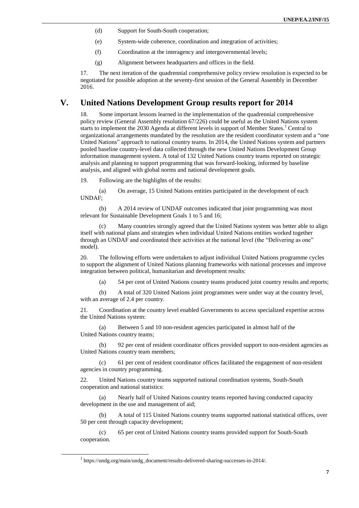- (d) Support for South-South cooperation;
- (e) System-wide coherence, coordination and integration of activities;
- (f) Coordination at the interagency and intergovernmental levels;
- (g) Alignment between headquarters and offices in the field.

17. The next iteration of the quadrennial comprehensive policy review resolution is expected to be negotiated for possible adoption at the seventy-first session of the General Assembly in December 2016.

#### **V. [United Nations Development Group](https://undg.org/main/undg_document/results-delivered-sharing-successes-in-2014/) results report for 2014**

18. Some important lessons learned in the implementation of the quadrennial comprehensive policy review (General Assembly resolution 67/226) could be useful as the United Nations system starts to implement the 2030 Agenda at different levels in support of Member States.<sup>1</sup> Central to organizational arrangements mandated by the resolution are the resident coordinator system and a "one United Nations" approach to national country teams. In 2014, the United Nations system and partners pooled baseline country-level data collected through the new United Nations Development Group information management system. A total of 132 United Nations country teams reported on strategic analysis and planning to support programming that was forward-looking, informed by baseline analysis, and aligned with global norms and national development goals.

19. Following are the highlights of the results:

(a) On average, 15 United Nations entities participated in the development of each UNDAF;

(b) A 2014 review of UNDAF outcomes indicated that joint programming was most relevant for Sustainable Development Goals 1 to 5 and 16;

Many countries strongly agreed that the United Nations system was better able to align itself with national plans and strategies when individual United Nations entities worked together through an UNDAF and coordinated their activities at the national level (the "Delivering as one" model).

20. The following efforts were undertaken to adjust individual United Nations programme cycles to support the alignment of United Nations planning frameworks with national processes and improve integration between political, humanitarian and development results:

(a) 54 per cent of United Nations country teams produced joint country results and reports;

(b) A total of 320 United Nations joint programmes were under way at the country level, with an average of 2.4 per country.

21. Coordination at the country level enabled Governments to access specialized expertise across the United Nations system:

(a) Between 5 and 10 non-resident agencies participated in almost half of the United Nations country teams;

(b) 92 per cent of resident coordinator offices provided support to non-resident agencies as United Nations country team members;

(c) 61 per cent of resident coordinator offices facilitated the engagement of non-resident agencies in country programming.

22. United Nations country teams supported national coordination systems, South-South cooperation and national statistics:

(a) Nearly half of United Nations country teams reported having conducted capacity development in the use and management of aid;

(b) A total of 115 United Nations country teams supported national statistical offices, over 50 per cent through capacity development;

(c) 65 per cent of United Nations country teams provided support for South-South cooperation.

 $\overline{a}$ 

<sup>1</sup> https://undg.org/main/undg\_document/results-delivered-sharing-successes-in-2014/.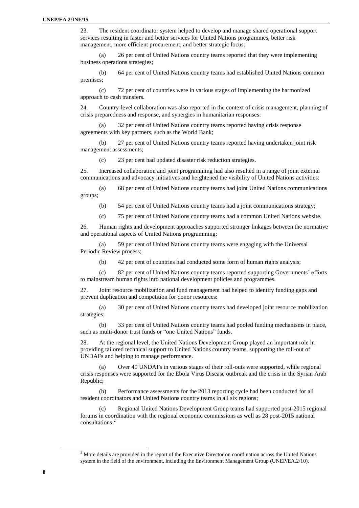23. The resident coordinator system helped to develop and manage shared operational support services resulting in faster and better services for United Nations programmes, better risk management, more efficient procurement, and better strategic focus:

(a) 26 per cent of United Nations country teams reported that they were implementing business operations strategies;

(b) 64 per cent of United Nations country teams had established United Nations common premises;

(c) 72 per cent of countries were in various stages of implementing the harmonized approach to cash transfers.

24. Country-level collaboration was also reported in the context of crisis management, planning of crisis preparedness and response, and synergies in humanitarian responses:

(a) 32 per cent of United Nations country teams reported having crisis response agreements with key partners, such as the World Bank;

(b) 27 per cent of United Nations country teams reported having undertaken joint risk management assessments;

(c) 23 per cent had updated disaster risk reduction strategies.

25. Increased collaboration and joint programming had also resulted in a range of joint external communications and advocacy initiatives and heightened the visibility of United Nations activities:

(a) 68 per cent of United Nations country teams had joint United Nations communications groups;

(b) 54 per cent of United Nations country teams had a joint communications strategy;

(c) 75 per cent of United Nations country teams had a common United Nations website.

26. Human rights and development approaches supported stronger linkages between the normative and operational aspects of United Nations programming:

(a) 59 per cent of United Nations country teams were engaging with the Universal Periodic Review process;

(b) 42 per cent of countries had conducted some form of human rights analysis;

(c) 82 per cent of United Nations country teams reported supporting Governments' efforts to mainstream human rights into national development policies and programmes.

27. Joint resource mobilization and fund management had helped to identify funding gaps and prevent duplication and competition for donor resources:

(a) 30 per cent of United Nations country teams had developed joint resource mobilization strategies;

(b) 33 per cent of United Nations country teams had pooled funding mechanisms in place, such as multi-donor trust funds or "one United Nations" funds.

28. At the regional level, the United Nations Development Group played an important role in providing tailored technical support to United Nations country teams, supporting the roll-out of UNDAFs and helping to manage performance.

(a) Over 40 UNDAFs in various stages of their roll-outs were supported, while regional crisis responses were supported for the Ebola Virus Disease outbreak and the crisis in the Syrian Arab Republic;

(b) Performance assessments for the 2013 reporting cycle had been conducted for all resident coordinators and United Nations country teams in all six regions;

Regional United Nations Development Group teams had supported post-2015 regional forums in coordination with the regional economic commissions as well as 28 post-2015 national consultations. 2

 $\overline{a}$ 

<sup>&</sup>lt;sup>2</sup> More details are provided in the report of the Executive Director on coordination across the United Nations system in the field of the environment, including the Environment Management Group (UNEP/EA.2/10).